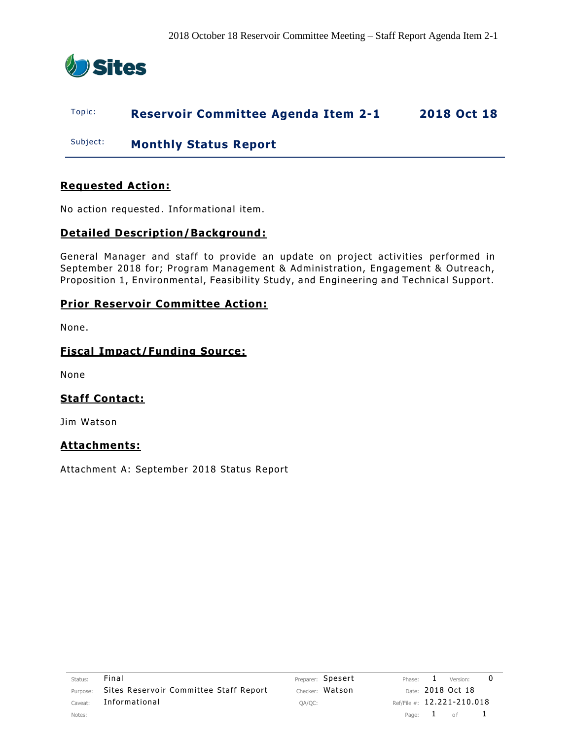

# Topic: **Reservoir Committee Agenda Item 2-1 2018 Oct 18**

Subject: **Monthly Status Report**

# **Requested Action:**

No action requested. Informational item.

# **Detailed Description/Background:**

General Manager and staff to provide an update on project activities performed in September 2018 for; Program Management & Administration, Engagement & Outreach, Proposition 1, Environmental, Feasibility Study, and Engineering and Technical Support.

## **Prior Reservoir Committee Action:**

None.

# **Fiscal Impact/Funding Source:**

None

# **Staff Contact:**

Jim Watson

## **Attachments:**

Attachment A: September 2018 Status Report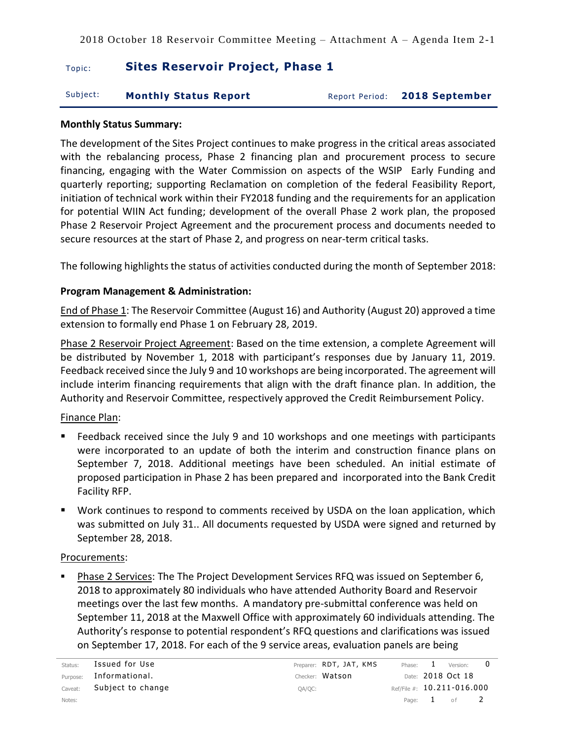# **Topic:** Sites Reservoir Project, Phase 1

| Subject: | <b>Monthly Status Report</b> |  | Report Period: 2018 September |
|----------|------------------------------|--|-------------------------------|
|----------|------------------------------|--|-------------------------------|

#### **Monthly Status Summary:**

The development of the Sites Project continues to make progress in the critical areas associated with the rebalancing process, Phase 2 financing plan and procurement process to secure financing, engaging with the Water Commission on aspects of the WSIP Early Funding and quarterly reporting; supporting Reclamation on completion of the federal Feasibility Report, initiation of technical work within their FY2018 funding and the requirements for an application for potential WIIN Act funding; development of the overall Phase 2 work plan, the proposed Phase 2 Reservoir Project Agreement and the procurement process and documents needed to secure resources at the start of Phase 2, and progress on near-term critical tasks.

The following highlights the status of activities conducted during the month of September 2018:

## **Program Management & Administration:**

End of Phase 1: The Reservoir Committee (August 16) and Authority (August 20) approved a time extension to formally end Phase 1 on February 28, 2019.

Phase 2 Reservoir Project Agreement: Based on the time extension, a complete Agreement will be distributed by November 1, 2018 with participant's responses due by January 11, 2019. Feedback received since the July 9 and 10 workshops are being incorporated. The agreement will include interim financing requirements that align with the draft finance plan. In addition, the Authority and Reservoir Committee, respectively approved the Credit Reimbursement Policy.

## Finance Plan:

- Feedback received since the July 9 and 10 workshops and one meetings with participants were incorporated to an update of both the interim and construction finance plans on September 7, 2018. Additional meetings have been scheduled. An initial estimate of proposed participation in Phase 2 has been prepared and incorporated into the Bank Credit Facility RFP.
- Work continues to respond to comments received by USDA on the loan application, which was submitted on July 31.. All documents requested by USDA were signed and returned by September 28, 2018.

## Procurements:

Phase 2 Services: The The Project Development Services RFQ was issued on September 6, 2018 to approximately 80 individuals who have attended Authority Board and Reservoir meetings over the last few months. A mandatory pre-submittal conference was held on September 11, 2018 at the Maxwell Office with approximately 60 individuals attending. The Authority's response to potential respondent's RFQ questions and clarifications was issued on September 17, 2018. For each of the 9 service areas, evaluation panels are being